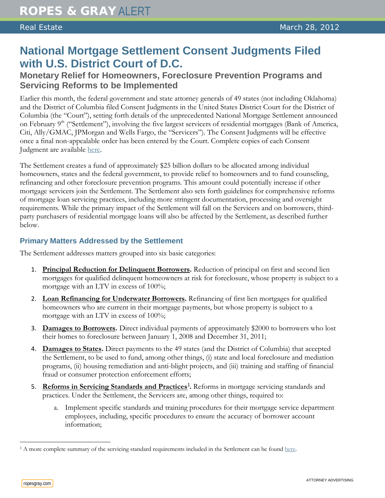# **National Mortgage Settlement Consent Judgments Filed with U.S. District Court of D.C.**

# **Monetary Relief for Homeowners, Foreclosure Prevention Programs and Servicing Reforms to be Implemented**

Earlier this month, the federal government and state attorney generals of 49 states (not including Oklahoma) and the District of Columbia filed Consent Judgments in the United States District Court for the District of Columbia (the "Court"), setting forth details of the unprecedented National Mortgage Settlement announced on February  $9<sup>th</sup>$  ("Settlement"), involving the five largest servicers of residential mortgages (Bank of America, Citi, Ally/GMAC, JPMorgan and Wells Fargo, the "Servicers"). The Consent Judgments will be effective once a final non-appealable order has been entered by the Court. Complete copies of each Consent Judgment are available [here.](http://www.nationalmortgagesettlement.com/)

The Settlement creates a fund of approximately \$25 billion dollars to be allocated among individual homeowners, states and the federal government, to provide relief to homeowners and to fund counseling, refinancing and other foreclosure prevention programs. This amount could potentially increase if other mortgage servicers join the Settlement. The Settlement also sets forth guidelines for comprehensive reforms of mortgage loan servicing practices, including more stringent documentation, processing and oversight requirements. While the primary impact of the Settlement will fall on the Servicers and on borrowers, thirdparty purchasers of residential mortgage loans will also be affected by the Settlement, as described further below.

## **Primary Matters Addressed by the Settlement**

The Settlement addresses matters grouped into six basic categories:

- 1. Principal Reduction for Delinquent Borrowers. Reduction of principal on first and second lien mortgages for qualified delinquent homeowners at risk for foreclosure, whose property is subject to a mortgage with an LTV in excess of 100%;
- 2. Loan Refinancing for Underwater Borrowers. Refinancing of first lien mortgages for qualified homeowners who are current in their mortgage payments, but whose property is subject to a mortgage with an LTV in excess of 100%;
- 3. **Damages to Borrowers .** Direct individual payments of approximately \$2000 to borrowers who lost their homes to foreclosure between January 1, 2008 and December 31, 2011;
- 4. **Damages to States .** Direct payments to the 49 states (and the District of Columbia) that accepted the Settlement, to be used to fund, among other things, (i) state and local foreclosure and mediation programs, (ii) housing remediation and anti-blight projects, and (iii) training and staffing of financial fraud or consumer protection enforcement efforts;
- 5. **Reforms in Servicing Standards and Practices[1](#page-0-0) .** Reforms in mortgage servicing standards and practices. Under the Settlement, the Servicers are, among other things, required to:
	- a. Implement specific standards and training procedures for their mortgage service department employees, including, specific procedures to ensure the accuracy of borrower account information;

 $\overline{a}$ 

<span id="page-0-0"></span> $1 A$  more complete summary of the servicing standard requirements included in the Settlement can be found [here.](http://www.atg.wa.gov/uploadedFiles/Home/About_the_Office/Cases/National_Mortgage_Settlement/Servicing%20Standards%20Highlights.pdf)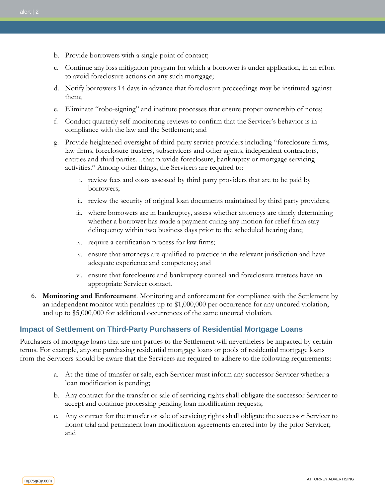- b. Provide borrowers with a single point of contact;
- c. Continue any loss mitigation program for which a borrower is under application, in an effort to avoid foreclosure actions on any such mortgage;
- d. Notify borrowers 14 days in advance that foreclosure proceedings may be instituted against them;
- e. Eliminate "robo-signing" and institute processes that ensure proper ownership of notes;
- f. Conduct quarterly self-monitoring reviews to confirm that the Servicer's behavior is in compliance with the law and the Settlement; and
- g. Provide heightened oversight of third-party service providers including "foreclosure firms, law firms, foreclosure trustees, subservicers and other agents, independent contractors, entities and third parties…that provide foreclosure, bankruptcy or mortgage servicing activities." Among other things, the Servicers are required to:
	- i. review fees and costs assessed by third party providers that are to be paid by borrowers;
	- ii. review the security of original loan documents maintained by third party providers;
	- iii. where borrowers are in bankruptcy, assess whether attorneys are timely determining whether a borrower has made a payment curing any motion for relief from stay delinquency within two business days prior to the scheduled hearing date;
	- iv. require a certification process for law firms;
	- v. ensure that attorneys are qualified to practice in the relevant jurisdiction and have adequate experience and competency; and
	- vi. ensure that foreclosure and bankruptcy counsel and foreclosure trustees have an appropriate Servicer contact.
- 6. **Monitoring and Enforcement** . Monitoring and enforcement for compliance with the Settlement by an independent monitor with penalties up to \$1,000,000 per occurrence for any uncured violation, and up to \$5,000,000 for additional occurrences of the same uncured violation.

### **Impact of Settlement on Third-Party Purchasers of Residential Mortgage Loans**

Purchasers of mortgage loans that are not parties to the Settlement will nevertheless be impacted by certain terms. For example, anyone purchasing residential mortgage loans or pools of residential mortgage loans from the Servicers should be aware that the Servicers are required to adhere to the following requirements:

- a. At the time of transfer or sale, each Servicer must inform any successor Servicer whether a loan modification is pending;
- b. Any contract for the transfer or sale of servicing rights shall obligate the successor Servicer to accept and continue processing pending loan modification requests;
- c. Any contract for the transfer or sale of servicing rights shall obligate the successor Servicer to honor trial and permanent loan modification agreements entered into by the prior Servicer; and